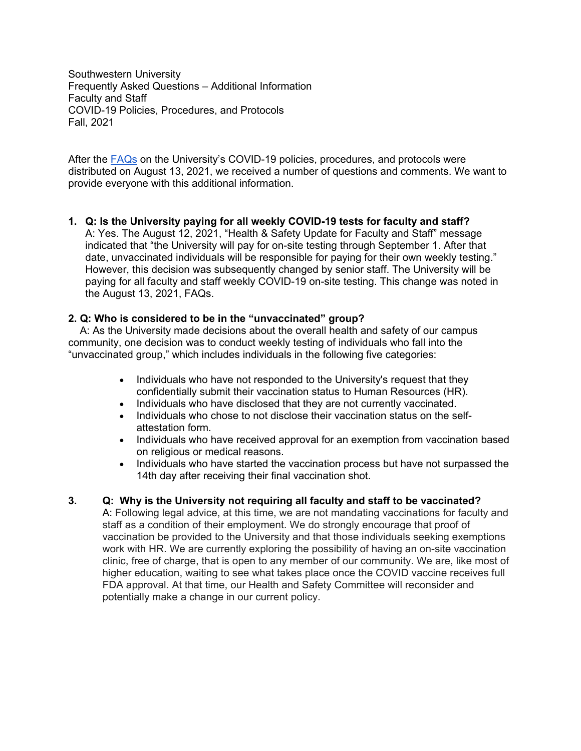Southwestern University Frequently Asked Questions – Additional Information Faculty and Staff COVID-19 Policies, Procedures, and Protocols Fall, 2021

After the [FAQs](https://www.southwestern.edu/live/files/9723-faqsfacultystafffall2021pdf) on the University's COVID-19 policies, procedures, and protocols were distributed on August 13, 2021, we received a number of questions and comments. We want to provide everyone with this additional information.

### **1. Q: Is the University paying for all weekly COVID-19 tests for faculty and staff?**

A: Yes. The August 12, 2021, "Health & Safety Update for Faculty and Staff" message indicated that "the University will pay for on-site testing through September 1. After that date, unvaccinated individuals will be responsible for paying for their own weekly testing." However, this decision was subsequently changed by senior staff. The University will be paying for all faculty and staff weekly COVID-19 on-site testing. This change was noted in the August 13, 2021, FAQs.

### **2. Q: Who is considered to be in the "unvaccinated" group?**

 A: As the University made decisions about the overall health and safety of our campus community, one decision was to conduct weekly testing of individuals who fall into the "unvaccinated group," which includes individuals in the following five categories:

- Individuals who have not responded to the University's request that they confidentially submit their vaccination status to Human Resources (HR).
- Individuals who have disclosed that they are not currently vaccinated.
- Individuals who chose to not disclose their vaccination status on the selfattestation form.
- Individuals who have received approval for an exemption from vaccination based on religious or medical reasons.
- Individuals who have started the vaccination process but have not surpassed the 14th day after receiving their final vaccination shot.

### **3. Q: Why is the University not requiring all faculty and staff to be vaccinated?**

A: Following legal advice, at this time, we are not mandating vaccinations for faculty and staff as a condition of their employment. We do strongly encourage that proof of vaccination be provided to the University and that those individuals seeking exemptions work with HR. We are currently exploring the possibility of having an on-site vaccination clinic, free of charge, that is open to any member of our community. We are, like most of higher education, waiting to see what takes place once the COVID vaccine receives full FDA approval. At that time, our Health and Safety Committee will reconsider and potentially make a change in our current policy.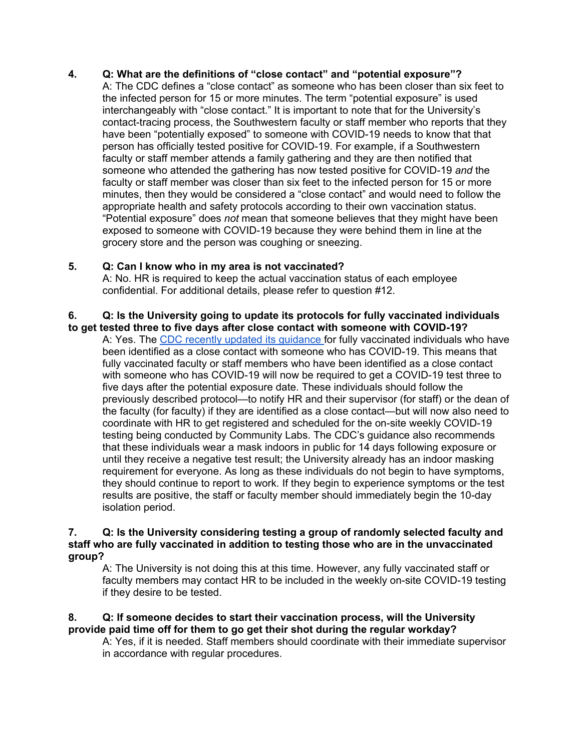# **4. Q: What are the definitions of "close contact" and "potential exposure"?**

A: The CDC defines a "close contact" as someone who has been closer than six feet to the infected person for 15 or more minutes. The term "potential exposure" is used interchangeably with "close contact." It is important to note that for the University's contact-tracing process, the Southwestern faculty or staff member who reports that they have been "potentially exposed" to someone with COVID-19 needs to know that that person has officially tested positive for COVID-19. For example, if a Southwestern faculty or staff member attends a family gathering and they are then notified that someone who attended the gathering has now tested positive for COVID-19 *and* the faculty or staff member was closer than six feet to the infected person for 15 or more minutes, then they would be considered a "close contact" and would need to follow the appropriate health and safety protocols according to their own vaccination status. "Potential exposure" does *not* mean that someone believes that they might have been exposed to someone with COVID-19 because they were behind them in line at the grocery store and the person was coughing or sneezing.

### **5. Q: Can I know who in my area is not vaccinated?**

A: No. HR is required to keep the actual vaccination status of each employee confidential. For additional details, please refer to question #12.

#### **6. Q: Is the University going to update its protocols for fully vaccinated individuals to get tested three to five days after close contact with someone with COVID-19?**

A: Yes. The [CDC recently updated its guidance f](https://www.cdc.gov/coronavirus/2019-ncov/vaccines/fully-vaccinated.html)or fully vaccinated individuals who have been identified as a close contact with someone who has COVID-19. This means that fully vaccinated faculty or staff members who have been identified as a close contact with someone who has COVID-19 will now be required to get a COVID-19 test three to five days after the potential exposure date. These individuals should follow the previously described protocol—to notify HR and their supervisor (for staff) or the dean of the faculty (for faculty) if they are identified as a close contact—but will now also need to coordinate with HR to get registered and scheduled for the on-site weekly COVID-19 testing being conducted by Community Labs. The CDC's guidance also recommends that these individuals wear a mask indoors in public for 14 days following exposure or until they receive a negative test result; the University already has an indoor masking requirement for everyone. As long as these individuals do not begin to have symptoms, they should continue to report to work. If they begin to experience symptoms or the test results are positive, the staff or faculty member should immediately begin the 10-day isolation period.

#### **7. Q: Is the University considering testing a group of randomly selected faculty and staff who are fully vaccinated in addition to testing those who are in the unvaccinated group?**

A: The University is not doing this at this time. However, any fully vaccinated staff or faculty members may contact HR to be included in the weekly on-site COVID-19 testing if they desire to be tested.

## **8. Q: If someone decides to start their vaccination process, will the University provide paid time off for them to go get their shot during the regular workday?**

A: Yes, if it is needed. Staff members should coordinate with their immediate supervisor in accordance with regular procedures.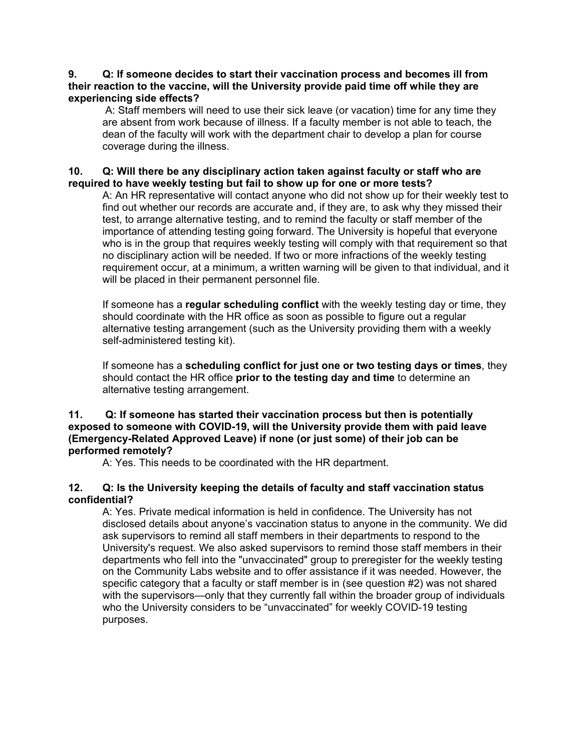#### **9. Q: If someone decides to start their vaccination process and becomes ill from their reaction to the vaccine, will the University provide paid time off while they are experiencing side effects?**

A: Staff members will need to use their sick leave (or vacation) time for any time they are absent from work because of illness. If a faculty member is not able to teach, the dean of the faculty will work with the department chair to develop a plan for course coverage during the illness.

### **10. Q: Will there be any disciplinary action taken against faculty or staff who are required to have weekly testing but fail to show up for one or more tests?**

A: An HR representative will contact anyone who did not show up for their weekly test to find out whether our records are accurate and, if they are, to ask why they missed their test, to arrange alternative testing, and to remind the faculty or staff member of the importance of attending testing going forward. The University is hopeful that everyone who is in the group that requires weekly testing will comply with that requirement so that no disciplinary action will be needed. If two or more infractions of the weekly testing requirement occur, at a minimum, a written warning will be given to that individual, and it will be placed in their permanent personnel file.

If someone has a **regular scheduling conflict** with the weekly testing day or time, they should coordinate with the HR office as soon as possible to figure out a regular alternative testing arrangement (such as the University providing them with a weekly self-administered testing kit).

If someone has a **scheduling conflict for just one or two testing days or times**, they should contact the HR office **prior to the testing day and time** to determine an alternative testing arrangement.

#### **11. Q: If someone has started their vaccination process but then is potentially exposed to someone with COVID-19, will the University provide them with paid leave (Emergency-Related Approved Leave) if none (or just some) of their job can be performed remotely?**

A: Yes. This needs to be coordinated with the HR department.

## **12. Q: Is the University keeping the details of faculty and staff vaccination status confidential?**

A: Yes. Private medical information is held in confidence. The University has not disclosed details about anyone's vaccination status to anyone in the community. We did ask supervisors to remind all staff members in their departments to respond to the University's request. We also asked supervisors to remind those staff members in their departments who fell into the "unvaccinated" group to preregister for the weekly testing on the Community Labs website and to offer assistance if it was needed. However, the specific category that a faculty or staff member is in (see question #2) was not shared with the supervisors—only that they currently fall within the broader group of individuals who the University considers to be "unvaccinated" for weekly COVID-19 testing purposes.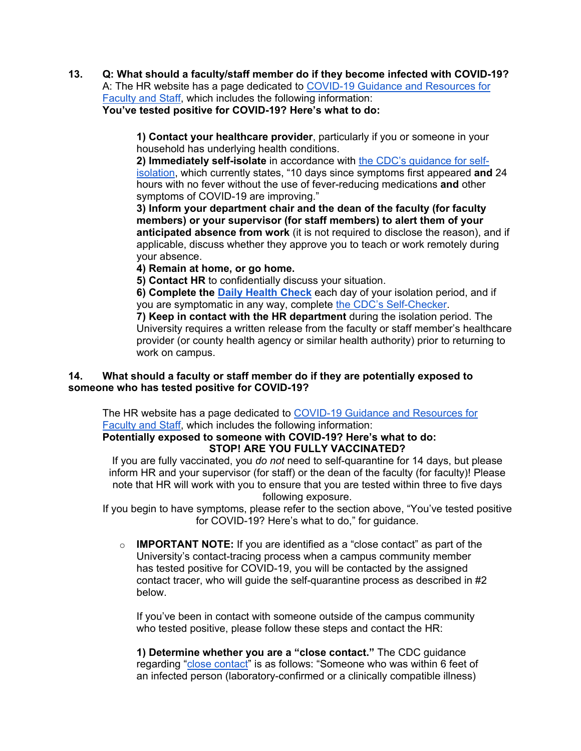#### **13. Q: What should a faculty/staff member do if they become infected with COVID-19?** A: The HR website has a page dedicated to [COVID-19 Guidance and Resources for](https://www.southwestern.edu/human-resources/covid19-guidance/)  [Faculty and Staff,](https://www.southwestern.edu/human-resources/covid19-guidance/) which includes the following information: **You've tested positive for COVID-19? Here's what to do:**

**1) Contact your healthcare provider**, particularly if you or someone in your household has underlying health conditions.

**2) Immediately self-isolate** in accordance with [the CDC's guidance for self](https://www.cdc.gov/coronavirus/2019-ncov/if-you-are-sick/quarantine.html)[isolation,](https://www.cdc.gov/coronavirus/2019-ncov/if-you-are-sick/quarantine.html) which currently states, "10 days since symptoms first appeared **and** 24 hours with no fever without the use of fever-reducing medications **and** other symptoms of COVID-19 are improving."

**3) Inform your department chair and the dean of the faculty (for faculty members) or your supervisor (for staff members) to alert them of your anticipated absence from work** (it is not required to disclose the reason), and if applicable, discuss whether they approve you to teach or work remotely during your absence.

**4) Remain at home, or go home.**

**5) Contact HR** to confidentially discuss your situation.

**6) Complete the [Daily Health Check](https://swu.mobi/DailySurvey)** each day of your isolation period, and if you are symptomatic in any way, complete [the CDC's Self-Checker.](https://www.cdc.gov/coronavirus/2019-ncov/symptoms-testing/coronavirus-self-checker.html)

**7) Keep in contact with the HR department** during the isolation period. The University requires a written release from the faculty or staff member's healthcare provider (or county health agency or similar health authority) prior to returning to work on campus.

## **14. What should a faculty or staff member do if they are potentially exposed to someone who has tested positive for COVID-19?**

The HR website has a page dedicated to COVID-19 Guidance and Resources for [Faculty and Staff,](https://www.southwestern.edu/human-resources/covid19-guidance/) which includes the following information:

#### **Potentially exposed to someone with COVID-19? Here's what to do: STOP! ARE YOU FULLY VACCINATED?**

If you are fully vaccinated, you *do not* need to self-quarantine for 14 days, but please inform HR and your supervisor (for staff) or the dean of the faculty (for faculty)! Please note that HR will work with you to ensure that you are tested within three to five days following exposure.

If you begin to have symptoms, please refer to the section above, "You've tested positive for COVID-19? Here's what to do," for guidance.

o **IMPORTANT NOTE:** If you are identified as a "close contact" as part of the University's contact-tracing process when a campus community member has tested positive for COVID-19, you will be contacted by the assigned contact tracer, who will guide the self-quarantine process as described in #2 below.

If you've been in contact with someone outside of the campus community who tested positive, please follow these steps and contact the HR:

**1) Determine whether you are a "close contact."** The CDC guidance regarding ["close contact"](https://www.cdc.gov/coronavirus/2019-ncov/php/contact-tracing/contact-tracing-plan/appendix.html#contact) is as follows: "Someone who was within 6 feet of an infected person (laboratory-confirmed or a clinically compatible illness)